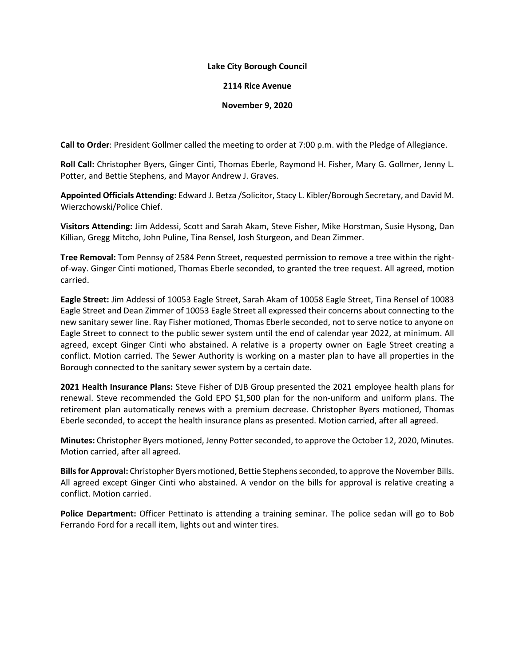## **Lake City Borough Council**

## **2114 Rice Avenue**

## **November 9, 2020**

**Call to Order**: President Gollmer called the meeting to order at 7:00 p.m. with the Pledge of Allegiance.

**Roll Call:** Christopher Byers, Ginger Cinti, Thomas Eberle, Raymond H. Fisher, Mary G. Gollmer, Jenny L. Potter, and Bettie Stephens, and Mayor Andrew J. Graves.

**Appointed Officials Attending:** Edward J. Betza /Solicitor, Stacy L. Kibler/Borough Secretary, and David M. Wierzchowski/Police Chief.

**Visitors Attending:** Jim Addessi, Scott and Sarah Akam, Steve Fisher, Mike Horstman, Susie Hysong, Dan Killian, Gregg Mitcho, John Puline, Tina Rensel, Josh Sturgeon, and Dean Zimmer.

**Tree Removal:** Tom Pennsy of 2584 Penn Street, requested permission to remove a tree within the rightof-way. Ginger Cinti motioned, Thomas Eberle seconded, to granted the tree request. All agreed, motion carried.

**Eagle Street:** Jim Addessi of 10053 Eagle Street, Sarah Akam of 10058 Eagle Street, Tina Rensel of 10083 Eagle Street and Dean Zimmer of 10053 Eagle Street all expressed their concerns about connecting to the new sanitary sewer line. Ray Fisher motioned, Thomas Eberle seconded, not to serve notice to anyone on Eagle Street to connect to the public sewer system until the end of calendar year 2022, at minimum. All agreed, except Ginger Cinti who abstained. A relative is a property owner on Eagle Street creating a conflict. Motion carried. The Sewer Authority is working on a master plan to have all properties in the Borough connected to the sanitary sewer system by a certain date.

**2021 Health Insurance Plans:** Steve Fisher of DJB Group presented the 2021 employee health plans for renewal. Steve recommended the Gold EPO \$1,500 plan for the non-uniform and uniform plans. The retirement plan automatically renews with a premium decrease. Christopher Byers motioned, Thomas Eberle seconded, to accept the health insurance plans as presented. Motion carried, after all agreed.

**Minutes:** Christopher Byers motioned, Jenny Potterseconded, to approve the October 12, 2020, Minutes. Motion carried, after all agreed.

**Bills for Approval:** Christopher Byers motioned, Bettie Stephensseconded, to approve the November Bills. All agreed except Ginger Cinti who abstained. A vendor on the bills for approval is relative creating a conflict. Motion carried.

**Police Department:** Officer Pettinato is attending a training seminar. The police sedan will go to Bob Ferrando Ford for a recall item, lights out and winter tires.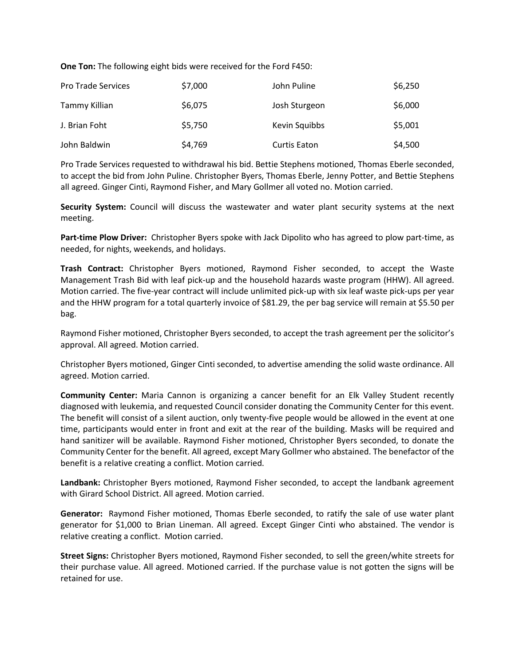**One Ton:** The following eight bids were received for the Ford F450:

| <b>Pro Trade Services</b> | \$7,000 | John Puline         | \$6,250 |
|---------------------------|---------|---------------------|---------|
| Tammy Killian             | \$6,075 | Josh Sturgeon       | \$6,000 |
| J. Brian Foht             | \$5,750 | Kevin Squibbs       | \$5,001 |
| John Baldwin              | \$4,769 | <b>Curtis Eaton</b> | \$4,500 |

Pro Trade Services requested to withdrawal his bid. Bettie Stephens motioned, Thomas Eberle seconded, to accept the bid from John Puline. Christopher Byers, Thomas Eberle, Jenny Potter, and Bettie Stephens all agreed. Ginger Cinti, Raymond Fisher, and Mary Gollmer all voted no. Motion carried.

**Security System:** Council will discuss the wastewater and water plant security systems at the next meeting.

**Part-time Plow Driver:** Christopher Byers spoke with Jack Dipolito who has agreed to plow part-time, as needed, for nights, weekends, and holidays.

**Trash Contract:** Christopher Byers motioned, Raymond Fisher seconded, to accept the Waste Management Trash Bid with leaf pick-up and the household hazards waste program (HHW). All agreed. Motion carried. The five-year contract will include unlimited pick-up with six leaf waste pick-ups per year and the HHW program for a total quarterly invoice of \$81.29, the per bag service will remain at \$5.50 per bag.

Raymond Fisher motioned, Christopher Byers seconded, to accept the trash agreement per the solicitor's approval. All agreed. Motion carried.

Christopher Byers motioned, Ginger Cinti seconded, to advertise amending the solid waste ordinance. All agreed. Motion carried.

**Community Center:** Maria Cannon is organizing a cancer benefit for an Elk Valley Student recently diagnosed with leukemia, and requested Council consider donating the Community Center for this event. The benefit will consist of a silent auction, only twenty-five people would be allowed in the event at one time, participants would enter in front and exit at the rear of the building. Masks will be required and hand sanitizer will be available. Raymond Fisher motioned, Christopher Byers seconded, to donate the Community Center for the benefit. All agreed, except Mary Gollmer who abstained. The benefactor of the benefit is a relative creating a conflict. Motion carried.

**Landbank:** Christopher Byers motioned, Raymond Fisher seconded, to accept the landbank agreement with Girard School District. All agreed. Motion carried.

**Generator:** Raymond Fisher motioned, Thomas Eberle seconded, to ratify the sale of use water plant generator for \$1,000 to Brian Lineman. All agreed. Except Ginger Cinti who abstained. The vendor is relative creating a conflict. Motion carried.

**Street Signs:** Christopher Byers motioned, Raymond Fisher seconded, to sell the green/white streets for their purchase value. All agreed. Motioned carried. If the purchase value is not gotten the signs will be retained for use.